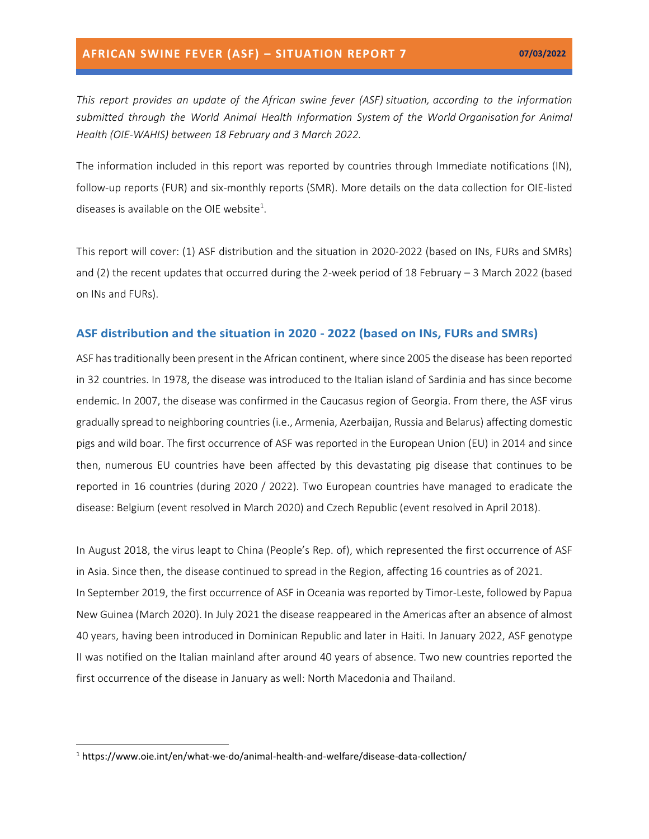*This report provides an update of the African swine fever (ASF) situation, according to the information submitted through the World Animal Health Information System of the World Organisation for Animal Health (OIE-WAHIS) between 18 February and 3 March 2022.*

The information included in this report was reported by countries through Immediate notifications (IN), follow-up reports (FUR) and six-monthly reports (SMR). More details on the data collection for OIE-listed diseases is available on the OIE website<sup>1</sup>.

This report will cover: (1) ASF distribution and the situation in 2020-2022 (based on INs, FURs and SMRs) and (2) the recent updates that occurred during the 2-week period of 18 February – 3 March 2022 (based on INs and FURs).

#### **ASF distribution and the situation in 2020 - 2022 (based on INs, FURs and SMRs)**

ASF has traditionally been present in the African continent, where since 2005 the disease has been reported in 32 countries. In 1978, the disease was introduced to the Italian island of Sardinia and has since become endemic. In 2007, the disease was confirmed in the Caucasus region of Georgia. From there, the ASF virus gradually spread to neighboring countries (i.e., Armenia, Azerbaijan, Russia and Belarus) affecting domestic pigs and wild boar. The first occurrence of ASF was reported in the European Union (EU) in 2014 and since then, numerous EU countries have been affected by this devastating pig disease that continues to be reported in 16 countries (during 2020 / 2022). Two European countries have managed to eradicate the disease: Belgium (event resolved in March 2020) and Czech Republic (event resolved in April 2018).

In August 2018, the virus leapt to China (People's Rep. of), which represented the first occurrence of ASF in Asia. Since then, the disease continued to spread in the Region, affecting 16 countries as of 2021. In September 2019, the first occurrence of ASF in Oceania was reported by Timor-Leste, followed by Papua New Guinea (March 2020). In July 2021 the disease reappeared in the Americas after an absence of almost 40 years, having been introduced in Dominican Republic and later in Haiti. In January 2022, ASF genotype II was notified on the Italian mainland after around 40 years of absence. Two new countries reported the first occurrence of the disease in January as well: North Macedonia and Thailand.

<sup>1</sup> https://www.oie.int/en/what-we-do/animal-health-and-welfare/disease-data-collection/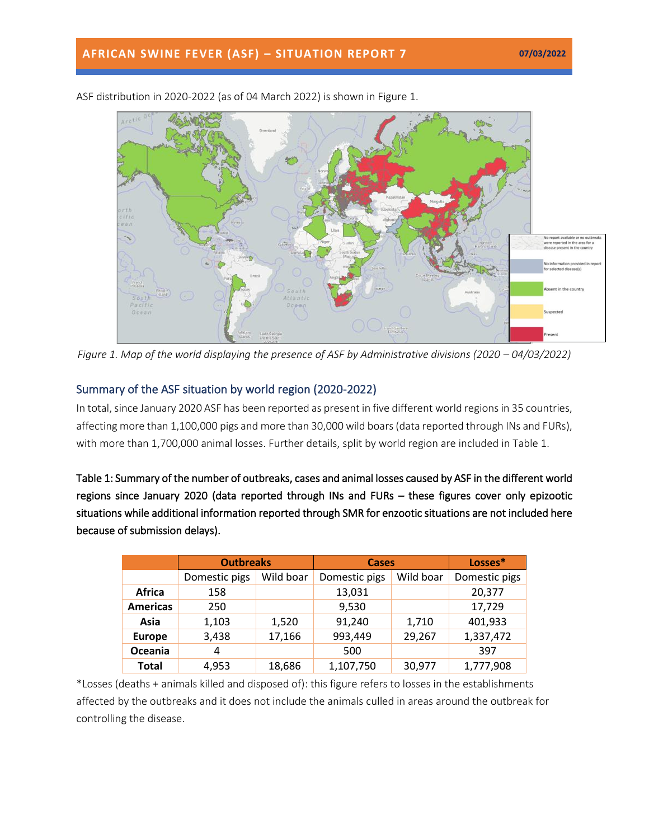

ASF distribution in 2020-2022 (as of 04 March 2022) is shown in Figure 1.

*Figure 1. Map of the world displaying the presence of ASF by Administrative divisions (2020 – 04/03/2022)* 

## Summary of the ASF situation by world region (2020-2022)

In total, since January 2020 ASF has been reported as present in five different world regions in 35 countries, affecting more than 1,100,000 pigs and more than 30,000 wild boars(data reported through INs and FURs), with more than 1,700,000 animal losses. Further details, split by world region are included in Table 1.

Table 1: Summary of the number of outbreaks, cases and animal losses caused by ASF in the different world regions since January 2020 (data reported through INs and FURs – these figures cover only epizootic situations while additional information reported through SMR for enzootic situations are not included here because of submission delays).

|                 | <b>Outbreaks</b> |           | <b>Cases</b>  |           | Losses*       |
|-----------------|------------------|-----------|---------------|-----------|---------------|
|                 | Domestic pigs    | Wild boar | Domestic pigs | Wild boar | Domestic pigs |
| <b>Africa</b>   | 158              |           | 13,031        |           | 20,377        |
| <b>Americas</b> | 250              |           | 9,530         |           | 17,729        |
| Asia            | 1,103            | 1,520     | 91,240        | 1,710     | 401,933       |
| <b>Europe</b>   | 3,438            | 17,166    | 993,449       | 29,267    | 1,337,472     |
| Oceania         | 4                |           | 500           |           | 397           |
| <b>Total</b>    | 4,953            | 18,686    | 1,107,750     | 30,977    | 1,777,908     |

\*Losses (deaths + animals killed and disposed of): this figure refers to losses in the establishments affected by the outbreaks and it does not include the animals culled in areas around the outbreak for controlling the disease.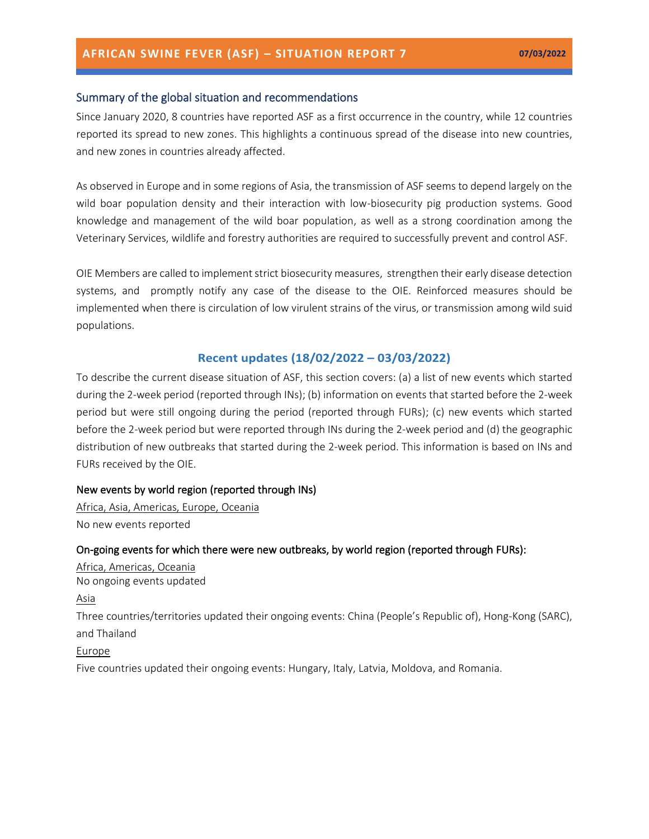#### Summary of the global situation and recommendations

Since January 2020, 8 countries have reported ASF as a first occurrence in the country, while 12 countries reported its spread to new zones. This highlights a continuous spread of the disease into new countries, and new zones in countries already affected.

As observed in Europe and in some regions of Asia, the transmission of ASF seems to depend largely on the wild boar population density and their interaction with low-biosecurity pig production systems. Good knowledge and management of the wild boar population, as well as a strong coordination among the Veterinary Services, wildlife and forestry authorities are required to successfully prevent and control ASF.

OIE Members are called to implement strict [biosecurity measures,](https://trello.com/c/jbPlhbq6/55-infographic-en-es-fr-ru-ch) strengthen their early disease detection systems, and promptly notify any case of the disease to the OIE. Reinforced measures should be implemented when there is circulation of low virulent strains of the virus, or transmission among wild suid populations.

### **Recent updates (18/02/2022 – 03/03/2022)**

To describe the current disease situation of ASF, this section covers: (a) a list of new events which started during the 2-week period (reported through INs); (b) information on events that started before the 2-week period but were still ongoing during the period (reported through FURs); (c) new events which started before the 2-week period but were reported through INs during the 2-week period and (d) the geographic distribution of new outbreaks that started during the 2-week period. This information is based on INs and FURs received by the OIE.

#### New events by world region (reported through INs)

Africa, Asia, Americas, Europe, Oceania No new events reported

#### On-going events for which there were new outbreaks, by world region (reported through FURs):

Africa, Americas, Oceania No ongoing events updated Asia Three countries/territories updated their ongoing events: China (People's Republic of), Hong-Kong (SARC), and Thailand

Europe

Five countries updated their ongoing events: Hungary, Italy, Latvia, Moldova, and Romania.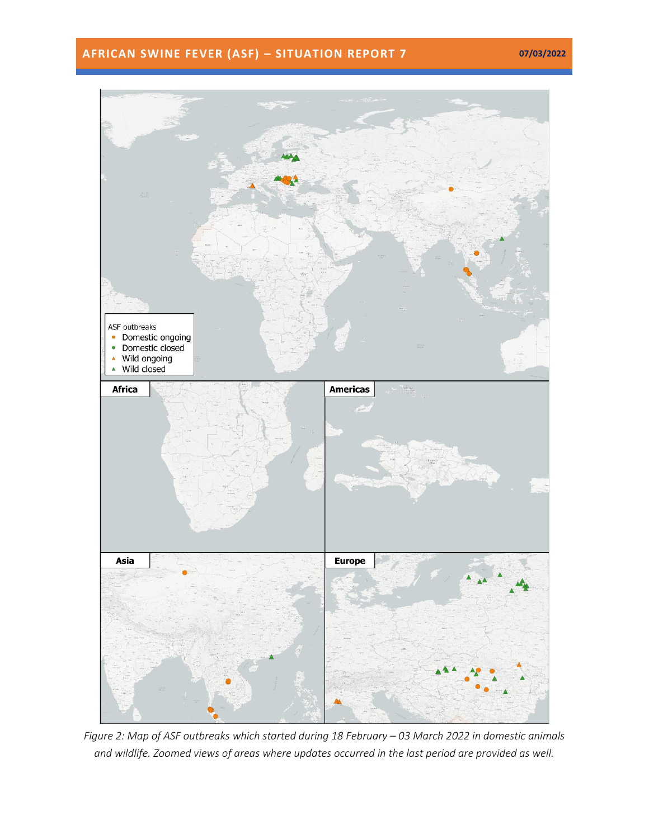# **AFRICAN SWINE FEVER (ASF) – SITUATION REPORT 7 07/03/2022**



*Figure 2: Map of ASF outbreaks which started during 18 February – 03 March 2022 in domestic animals and wildlife. Zoomed views of areas where updates occurred in the last period are provided as well.*